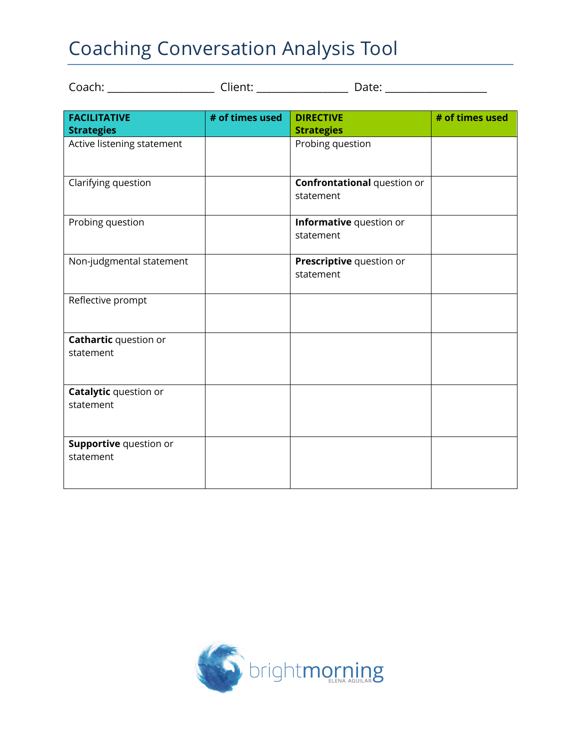## Coaching Conversation Analysis Tool

**Catalytic** question or

**Supportive** question or

statement

statement

| Coach: with the coach of the coach of the coach of the coach of the coach of the coach of the coach of the coach |                 | Date: _______________              |                 |
|------------------------------------------------------------------------------------------------------------------|-----------------|------------------------------------|-----------------|
|                                                                                                                  |                 |                                    |                 |
| <b>FACILITATIVE</b>                                                                                              | # of times used | <b>DIRECTIVE</b>                   | # of times used |
| <b>Strategies</b>                                                                                                |                 | <b>Strategies</b>                  |                 |
| Active listening statement                                                                                       |                 | Probing question                   |                 |
| Clarifying question                                                                                              |                 | <b>Confrontational question or</b> |                 |
|                                                                                                                  |                 | statement                          |                 |
| Probing question                                                                                                 |                 | Informative question or            |                 |
|                                                                                                                  |                 | statement                          |                 |
| Non-judgmental statement                                                                                         |                 | Prescriptive question or           |                 |
|                                                                                                                  |                 | statement                          |                 |
| Reflective prompt                                                                                                |                 |                                    |                 |
| <b>Cathartic</b> question or                                                                                     |                 |                                    |                 |
| statement                                                                                                        |                 |                                    |                 |